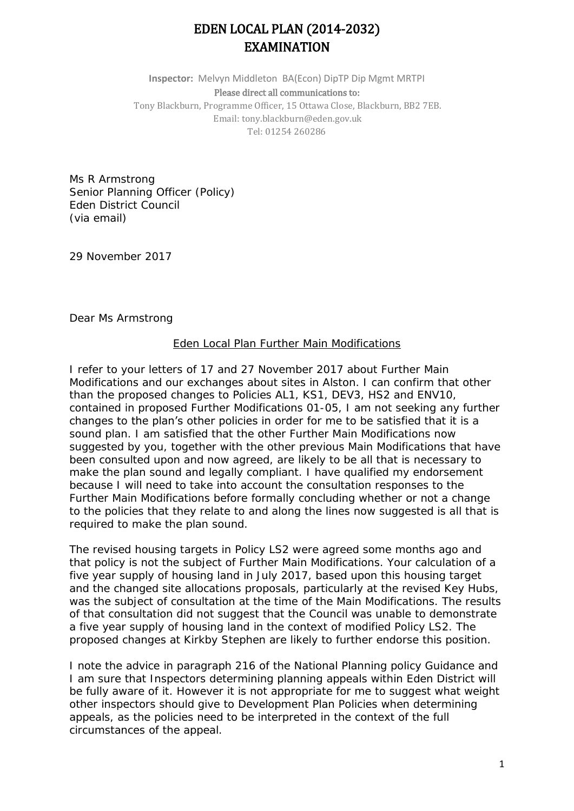## EDEN LOCAL PLAN (2014-2032) EXAMINATION

**Inspector:** Melvyn Middleton BA(Econ) DipTP Dip Mgmt MRTPI Please direct all communications to: Tony Blackburn, Programme Officer, 15 Ottawa Close, Blackburn, BB2 7EB. Email: tony.blackburn@eden.gov.uk Tel: 01254 260286

Ms R Armstrong Senior Planning Officer (Policy) Eden District Council (via email)

29 November 2017

Dear Ms Armstrong

## Eden Local Plan Further Main Modifications

I refer to your letters of 17 and 27 November 2017 about Further Main Modifications and our exchanges about sites in Alston. I can confirm that other than the proposed changes to Policies AL1, KS1, DEV3, HS2 and ENV10, contained in proposed Further Modifications 01-05, I am not seeking any further changes to the plan's other policies in order for me to be satisfied that it is a sound plan. I am satisfied that the other Further Main Modifications now suggested by you, together with the other previous Main Modifications that have been consulted upon and now agreed, are likely to be all that is necessary to make the plan sound and legally compliant. I have qualified my endorsement because I will need to take into account the consultation responses to the Further Main Modifications before formally concluding whether or not a change to the policies that they relate to and along the lines now suggested is all that is required to make the plan sound.

The revised housing targets in Policy LS2 were agreed some months ago and that policy is not the subject of Further Main Modifications. Your calculation of a five year supply of housing land in July 2017, based upon this housing target and the changed site allocations proposals, particularly at the revised Key Hubs, was the subject of consultation at the time of the Main Modifications. The results of that consultation did not suggest that the Council was unable to demonstrate a five year supply of housing land in the context of modified Policy LS2. The proposed changes at Kirkby Stephen are likely to further endorse this position.

I note the advice in paragraph 216 of the National Planning policy Guidance and I am sure that Inspectors determining planning appeals within Eden District will be fully aware of it. However it is not appropriate for me to suggest what weight other inspectors should give to Development Plan Policies when determining appeals, as the policies need to be interpreted in the context of the full circumstances of the appeal.